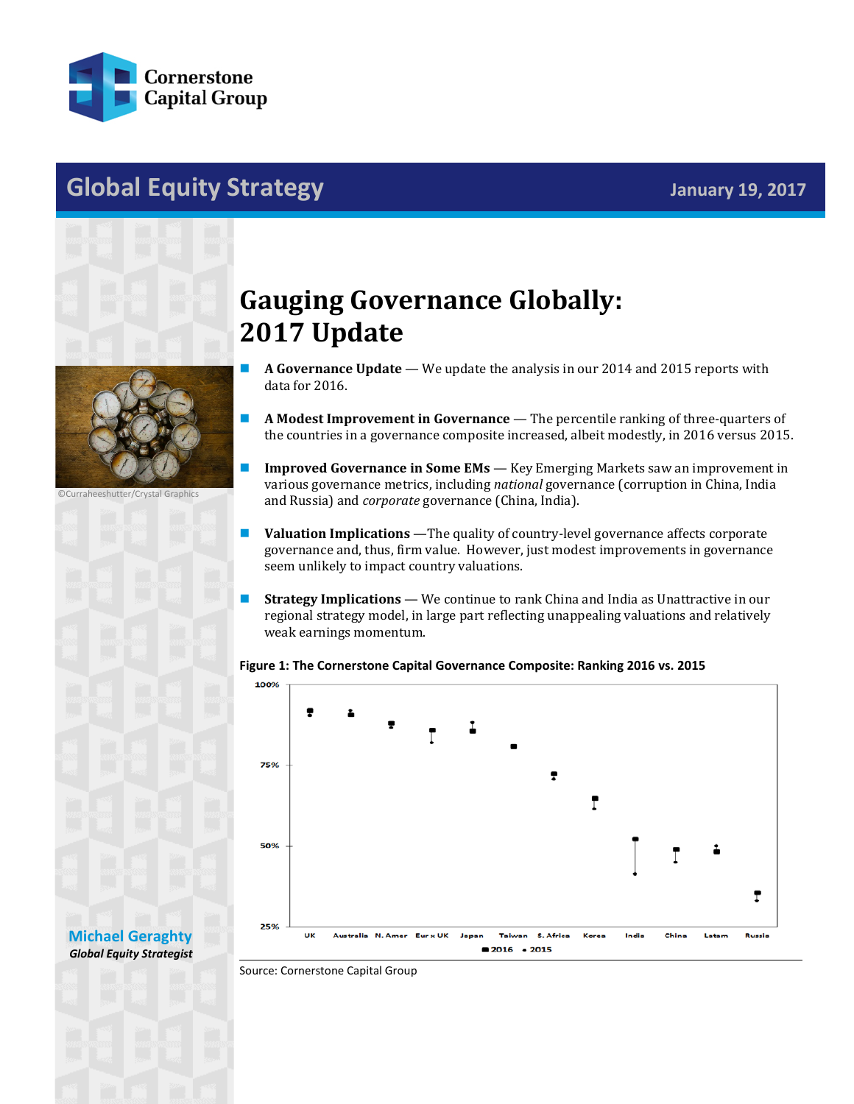

## **Global Equity Strategy January 19, 2017**



©Curraheeshutter/Crystal Graphics

**[Michael Geraghty](mailto:michael.geraghty@cornerstonecapinc.com)** *Global Equity Strategist*

## **Gauging Governance Globally: 2017 Update**

- **A Governance Update** We update the analysis in our 2014 and 2015 reports with data for 2016.
- **A Modest Improvement in Governance** The percentile ranking of three-quarters of the countries in a governance composite increased, albeit modestly, in 2016 versus 2015.
- **Improved Governance in Some EMs** Key Emerging Markets saw an improvement in various governance metrics, including *national* governance (corruption in China, India and Russia) and *corporate* governance (China, India).
- **Valuation Implications** —The quality of country-level governance affects corporate governance and, thus, firm value. However, just modest improvements in governance seem unlikely to impact country valuations.
- **Strategy Implications We continue to rank China and India as Unattractive in our** regional strategy model, in large part reflecting unappealing valuations and relatively weak earnings momentum.

## **Figure 1: The Cornerstone Capital Governance Composite: Ranking 2016 vs. 2015**